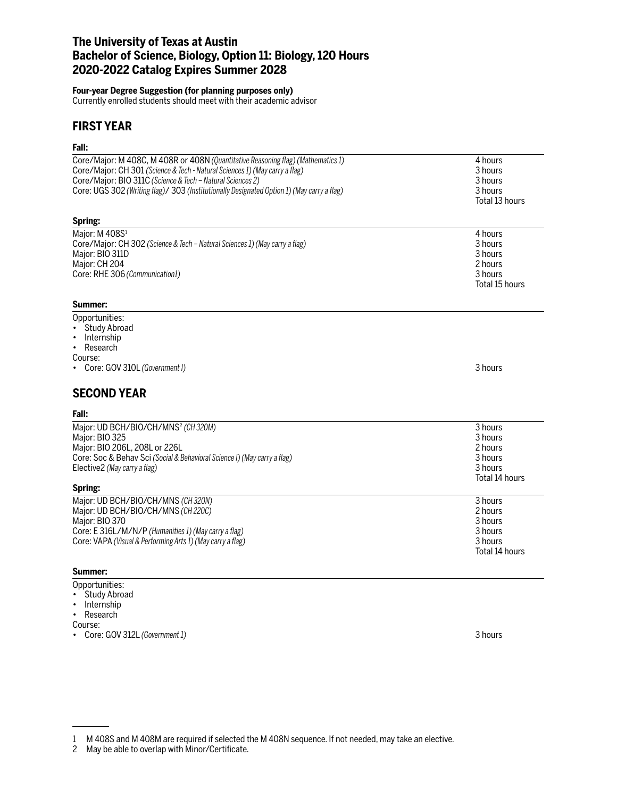# **The University of Texas at Austin Bachelor of Science, Biology, Option 11: Biology, 120 Hours 2020-2022 Catalog Expires Summer 2028**

### **Four-year Degree Suggestion (for planning purposes only)**

Currently enrolled students should meet with their academic advisor

# **FIRST YEAR**

### **Fall:**

| Core/Major: M 408C, M 408R or 408N (Quantitative Reasoning flag) (Mathematics 1)                                                                         | 4 hours            |
|----------------------------------------------------------------------------------------------------------------------------------------------------------|--------------------|
| Core/Major: CH 301 (Science & Tech - Natural Sciences 1) (May carry a flag)                                                                              | 3 hours            |
| Core/Major: BIO 311C (Science & Tech - Natural Sciences 2)<br>Core: UGS 302 (Writing flag)/ 303 (Institutionally Designated Option 1) (May carry a flag) | 3 hours<br>3 hours |
|                                                                                                                                                          | Total 13 hours     |
|                                                                                                                                                          |                    |
| Spring:                                                                                                                                                  |                    |
| Major: M 408S <sup>1</sup>                                                                                                                               | 4 hours            |
| Core/Major: CH 302 (Science & Tech - Natural Sciences 1) (May carry a flag)                                                                              | 3 hours            |
| Major: BIO 311D                                                                                                                                          | 3 hours            |
| Major: CH 204                                                                                                                                            | 2 hours            |
| Core: RHE 306 (Communication1)                                                                                                                           | 3 hours            |
|                                                                                                                                                          | Total 15 hours     |
| Summer:                                                                                                                                                  |                    |
| Opportunities:                                                                                                                                           |                    |
| <b>Study Abroad</b>                                                                                                                                      |                    |
| Internship<br>$\bullet$                                                                                                                                  |                    |
| Research<br>$\bullet$                                                                                                                                    |                    |
| Course:                                                                                                                                                  |                    |
| Core: GOV 310L (Government I)                                                                                                                            | 3 hours            |
| <b>SECOND YEAR</b>                                                                                                                                       |                    |
| Fall:                                                                                                                                                    |                    |
| Major: UD BCH/BIO/CH/MNS <sup>2</sup> (CH320M)                                                                                                           | 3 hours            |
| Major: BIO 325                                                                                                                                           | 3 hours            |
| Major: BIO 206L, 208L or 226L                                                                                                                            | 2 hours            |
| Core: Soc & Behav Sci (Social & Behavioral Science I) (May carry a flag)                                                                                 | 3 hours            |
| Elective2 (May carry a flag)                                                                                                                             | 3 hours            |
| Spring:                                                                                                                                                  | Total 14 hours     |
| Major: UD BCH/BIO/CH/MNS (CH 320N)                                                                                                                       | 3 hours            |
| Major: UD BCH/BIO/CH/MNS (CH220C)                                                                                                                        | 2 hours            |
| Major: BIO 370                                                                                                                                           | 3 hours            |
| Core: E 316L/M/N/P (Humanities 1) (May carry a flag)                                                                                                     | 3 hours            |
| Core: VAPA (Visual & Performing Arts 1) (May carry a flag)                                                                                               | 3 hours            |
|                                                                                                                                                          | Total 14 hours     |
| e.                                                                                                                                                       |                    |

#### **Summer:**

# Opportunities:

- Study Abroad
- Internship • Research

Course:

- 
- Core: GOV 312L *(Government 1)* 3 hours

2 May be able to overlap with Minor/Certificate.

<sup>1</sup> M 408S and M 408M are required if selected the M 408N sequence. If not needed, may take an elective.